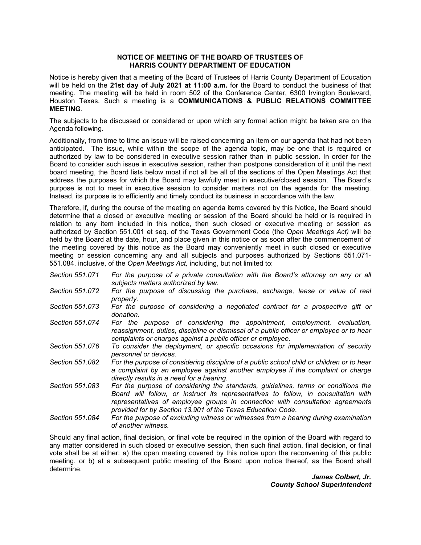## **NOTICE OF MEETING OF THE BOARD OF TRUSTEES OF HARRIS COUNTY DEPARTMENT OF EDUCATION**

 Notice is hereby given that a meeting of the Board of Trustees of Harris County Department of Education  will be held on the **21st day of July 2021 at 11:00 a.m.** for the Board to conduct the business of that meeting. The meeting will be held in room 502 of the Conference Center, 6300 Irvington Boulevard, Houston Texas. Such a meeting is a **COMMUNICATIONS & PUBLIC RELATIONS COMMITTEE MEETING**.

 The subjects to be discussed or considered or upon which any formal action might be taken are on the Agenda following.

 Board to consider such issue in executive session, rather than postpone consideration of it until the next board meeting, the Board lists below most if not all be all of the sections of the Open Meetings Act that address the purposes for which the Board may lawfully meet in executive/closed session. The Board's purpose is not to meet in executive session to consider matters not on the agenda for the meeting. Instead, its purpose is to efficiently and timely conduct its business in accordance with the law. Additionally, from time to time an issue will be raised concerning an item on our agenda that had not been anticipated. The issue, while within the scope of the agenda topic, may be one that is required or authorized by law to be considered in executive session rather than in public session. In order for the

 relation to any item included in this notice, then such closed or executive meeting or session as authorized by Section 551.001 et seq. of the Texas Government Code (the *Open Meetings Act)* will be 551.084, inclusive, of the *Open Meetings Act,* including, but not limited to: Therefore, if, during the course of the meeting on agenda items covered by this Notice, the Board should determine that a closed or executive meeting or session of the Board should be held or is required in held by the Board at the date, hour, and place given in this notice or as soon after the commencement of the meeting covered by this notice as the Board may conveniently meet in such closed or executive meeting or session concerning any and all subjects and purposes authorized by Sections 551.071-

- *Section 551.071 For the purpose of a private consultation with the Board's attorney on any or all subjects matters authorized by law.*
- *Section 551.072 For the purpose of discussing the purchase, exchange, lease or value of real property.*
- *Section 551.073 For the purpose of considering a negotiated contract for a prospective gift or donation.*
- Section 551.074  *reassignment, duties, discipline or dismissal of a public officer or employee or to hear*  For the purpose of considering the appointment, employment, evaluation, *complaints or charges against a public officer or employee.*
- *Section 551.076 To consider the deployment, or specific occasions for implementation of security personnel or devices.*
- *Section 551.082 For the purpose of considering discipline of a public school child or children or to hear a complaint by an employee against another employee if the complaint or charge directly results in a need for a hearing.*
- *Section 551.083 For the purpose of considering the standards, guidelines, terms or conditions the Board will follow, or instruct its representatives to follow, in consultation with representatives of employee groups in connection with consultation agreements provided for by Section 13.901 of the Texas Education Code.*
- *Section 551.084 For the purpose of excluding witness or witnesses from a hearing during examination of another witness.*

 Should any final action, final decision, or final vote be required in the opinion of the Board with regard to any matter considered in such closed or executive session, then such final action, final decision, or final vote shall be at either: a) the open meeting covered by this notice upon the reconvening of this public meeting, or b) at a subsequent public meeting of the Board upon notice thereof, as the Board shall determine.

> *James Colbert, Jr. County School Superintendent*